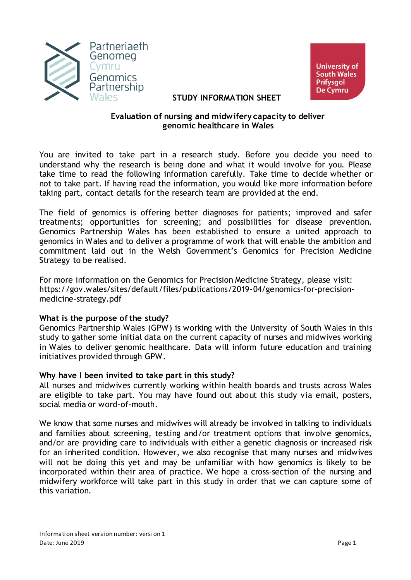



### **STUDY INFORMATION SHEET**

### **Evaluation of nursing and midwifery capacity to deliver genomic healthcare in Wales**

You are invited to take part in a research study. Before you decide you need to understand why the research is being done and what it would involve for you. Please take time to read the following information carefully. Take time to decide whether or not to take part. If having read the information, you would like more information before taking part, contact details for the research team are provided at the end.

The field of genomics is offering better diagnoses for patients; improved and safer treatments; opportunities for screening; and possibilities for disease prevention. Genomics Partnership Wales has been established to ensure a united approach to genomics in Wales and to deliver a programme of work that will enable the ambition and commitment laid out in the Welsh Government's Genomics for Precision Medicine Strategy to be realised.

For more information on the Genomics for Precision Medicine Strategy, please visit: https://gov.wales/sites/default/files/publications/2019-04/genomics-for-precisionmedicine-strategy.pdf

# **What is the purpose of the study?**

Genomics Partnership Wales (GPW) is working with the University of South Wales in this study to gather some initial data on the current capacity of nurses and midwives working in Wales to deliver genomic healthcare. Data will inform future education and training initiatives provided through GPW.

# **Why have I been invited to take part in this study?**

All nurses and midwives currently working within health boards and trusts across Wales are eligible to take part. You may have found out about this study via email, posters, social media or word-of-mouth.

We know that some nurses and midwives will already be involved in talking to individuals and families about screening, testing and/or treatment options that involve genomics, and/or are providing care to individuals with either a genetic diagnosis or increased risk for an inherited condition. However, we also recognise that many nurses and midwives will not be doing this yet and may be unfamiliar with how genomics is likely to be incorporated within their area of practice. We hope a cross-section of the nursing and midwifery workforce will take part in this study in order that we can capture some of this variation.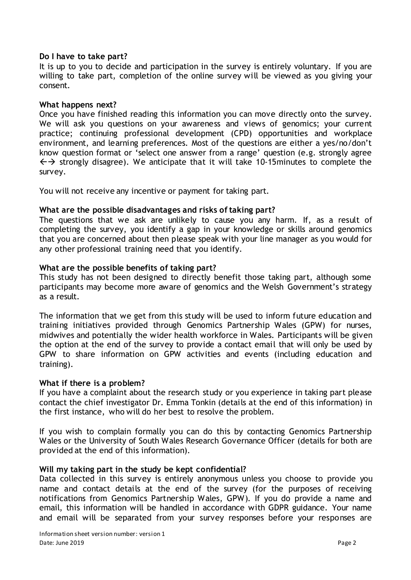### **Do I have to take part?**

It is up to you to decide and participation in the survey is entirely voluntary. If you are willing to take part, completion of the online survey will be viewed as you giving your consent.

#### **What happens next?**

Once you have finished reading this information you can move directly onto the survey. We will ask you questions on your awareness and views of genomics; your current practice; continuing professional development (CPD) opportunities and workplace environment, and learning preferences. Most of the questions are either a yes/no/don't know question format or 'select one answer from a range' question (e.g. strongly agree  $\leftrightarrow$  strongly disagree). We anticipate that it will take 10-15minutes to complete the survey.

You will not receive any incentive or payment for taking part.

### **What are the possible disadvantages and risks of taking part?**

The questions that we ask are unlikely to cause you any harm. If, as a result of completing the survey, you identify a gap in your knowledge or skills around genomics that you are concerned about then please speak with your line manager as you would for any other professional training need that you identify.

### **What are the possible benefits of taking part?**

This study has not been designed to directly benefit those taking part, although some participants may become more aware of genomics and the Welsh Government's strategy as a result.

The information that we get from this study will be used to inform future education and training initiatives provided through Genomics Partnership Wales (GPW) for nurses, midwives and potentially the wider health workforce in Wales. Participants will be given the option at the end of the survey to provide a contact email that will only be used by GPW to share information on GPW activities and events (including education and training).

# **What if there is a problem?**

If you have a complaint about the research study or you experience in taking part please contact the chief investigator Dr. Emma Tonkin (details at the end of this information) in the first instance, who will do her best to resolve the problem.

If you wish to complain formally you can do this by contacting Genomics Partnership Wales or the University of South Wales Research Governance Officer (details for both are provided at the end of this information).

#### **Will my taking part in the study be kept confidential?**

Data collected in this survey is entirely anonymous unless you choose to provide you name and contact details at the end of the survey (for the purposes of receiving notifications from Genomics Partnership Wales, GPW). If you do provide a name and email, this information will be handled in accordance with GDPR guidance. Your name and email will be separated from your survey responses before your responses are